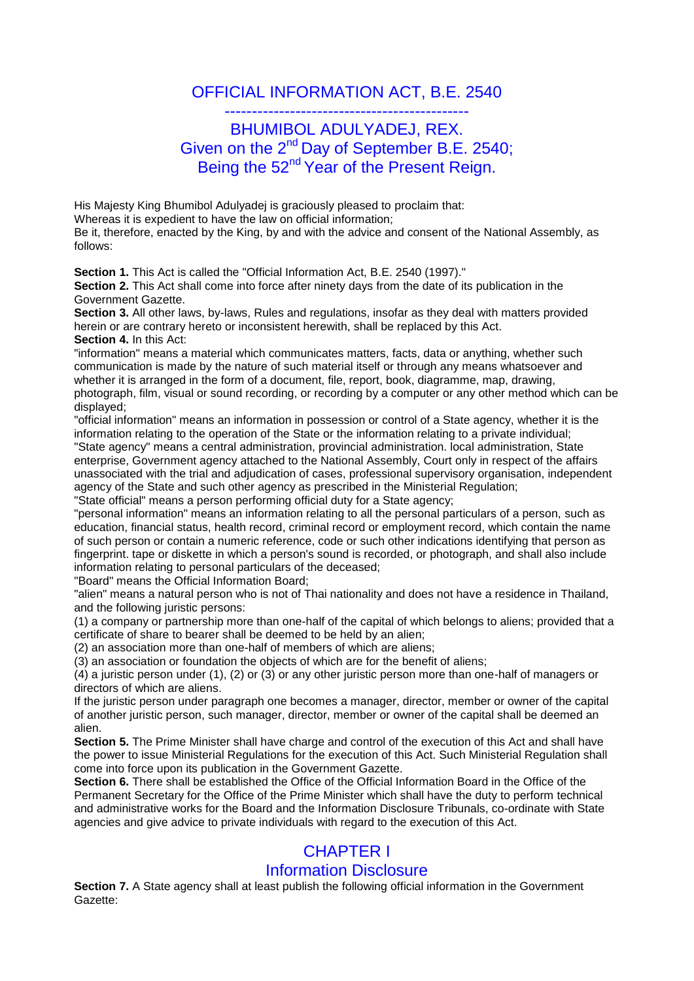## OFFICIAL INFORMATION ACT, B.E. 2540

## --------------------------------------------- BHUMIBOL ADULYADEJ, REX. Given on the 2<sup>nd</sup> Day of September B.E. 2540; Being the 52<sup>nd</sup> Year of the Present Reign.

His Majesty King Bhumibol Adulyadej is graciously pleased to proclaim that: Whereas it is expedient to have the law on official information; Be it, therefore, enacted by the King, by and with the advice and consent of the National Assembly, as follows:

**Section 1.** This Act is called the "Official Information Act, B.E. 2540 (1997)."

Section 2. This Act shall come into force after ninety days from the date of its publication in the Government Gazette.

**Section 3.** All other laws, by-laws, Rules and regulations, insofar as they deal with matters provided herein or are contrary hereto or inconsistent herewith, shall be replaced by this Act. **Section 4.** In this Act:

"information" means a material which communicates matters, facts, data or anything, whether such communication is made by the nature of such material itself or through any means whatsoever and whether it is arranged in the form of a document, file, report, book, diagramme, map, drawing, photograph, film, visual or sound recording, or recording by a computer or any other method which can be displayed;

"official information" means an information in possession or control of a State agency, whether it is the information relating to the operation of the State or the information relating to a private individual; "State agency" means a central administration, provincial administration. local administration, State enterprise, Government agency attached to the National Assembly, Court only in respect of the affairs unassociated with the trial and adjudication of cases, professional supervisory organisation, independent agency of the State and such other agency as prescribed in the Ministerial Regulation;

"State official" means a person performing official duty for a State agency;

"personal information" means an information relating to all the personal particulars of a person, such as education, financial status, health record, criminal record or employment record, which contain the name of such person or contain a numeric reference, code or such other indications identifying that person as fingerprint. tape or diskette in which a person's sound is recorded, or photograph, and shall also include information relating to personal particulars of the deceased;

"Board" means the Official Information Board;

"alien" means a natural person who is not of Thai nationality and does not have a residence in Thailand, and the following juristic persons:

(1) a company or partnership more than one-half of the capital of which belongs to aliens; provided that a certificate of share to bearer shall be deemed to be held by an alien;

(2) an association more than one-half of members of which are aliens;

(3) an association or foundation the objects of which are for the benefit of aliens;

(4) a juristic person under (1), (2) or (3) or any other juristic person more than one-half of managers or directors of which are aliens.

If the juristic person under paragraph one becomes a manager, director, member or owner of the capital of another juristic person, such manager, director, member or owner of the capital shall be deemed an alien.

**Section 5.** The Prime Minister shall have charge and control of the execution of this Act and shall have the power to issue Ministerial Regulations for the execution of this Act. Such Ministerial Regulation shall come into force upon its publication in the Government Gazette.

**Section 6.** There shall be established the Office of the Official Information Board in the Office of the Permanent Secretary for the Office of the Prime Minister which shall have the duty to perform technical and administrative works for the Board and the Information Disclosure Tribunals, co-ordinate with State agencies and give advice to private individuals with regard to the execution of this Act.

# CHAPTER I

## Information Disclosure

**Section 7.** A State agency shall at least publish the following official information in the Government Gazette: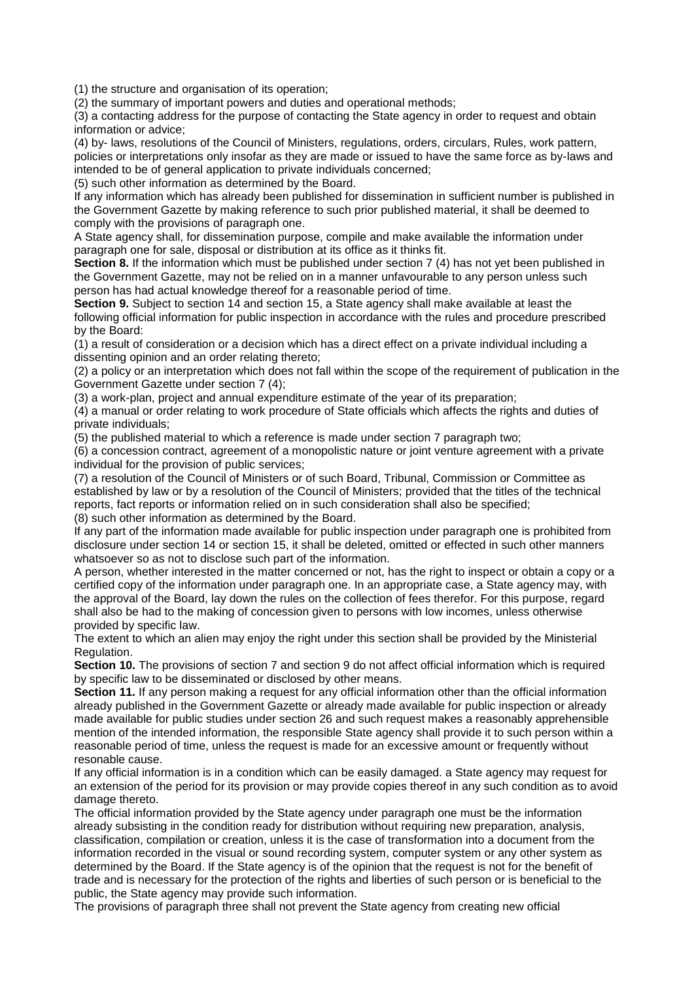(1) the structure and organisation of its operation;

(2) the summary of important powers and duties and operational methods;

(3) a contacting address for the purpose of contacting the State agency in order to request and obtain information or advice;

(4) by- laws, resolutions of the Council of Ministers, regulations, orders, circulars, Rules, work pattern, policies or interpretations only insofar as they are made or issued to have the same force as by-laws and intended to be of general application to private individuals concerned;

(5) such other information as determined by the Board.

If any information which has already been published for dissemination in sufficient number is published in the Government Gazette by making reference to such prior published material, it shall be deemed to comply with the provisions of paragraph one.

A State agency shall, for dissemination purpose, compile and make available the information under paragraph one for sale, disposal or distribution at its office as it thinks fit.

**Section 8.** If the information which must be published under section 7 (4) has not yet been published in the Government Gazette, may not be relied on in a manner unfavourable to any person unless such person has had actual knowledge thereof for a reasonable period of time.

**Section 9.** Subject to section 14 and section 15, a State agency shall make available at least the following official information for public inspection in accordance with the rules and procedure prescribed by the Board:

(1) a result of consideration or a decision which has a direct effect on a private individual including a dissenting opinion and an order relating thereto;

(2) a policy or an interpretation which does not fall within the scope of the requirement of publication in the Government Gazette under section 7 (4);

(3) a work-plan, project and annual expenditure estimate of the year of its preparation;

(4) a manual or order relating to work procedure of State officials which affects the rights and duties of private individuals;

(5) the published material to which a reference is made under section 7 paragraph two;

(6) a concession contract, agreement of a monopolistic nature or joint venture agreement with a private individual for the provision of public services;

(7) a resolution of the Council of Ministers or of such Board, Tribunal, Commission or Committee as established by law or by a resolution of the Council of Ministers; provided that the titles of the technical reports, fact reports or information relied on in such consideration shall also be specified; (8) such other information as determined by the Board.

If any part of the information made available for public inspection under paragraph one is prohibited from disclosure under section 14 or section 15, it shall be deleted, omitted or effected in such other manners whatsoever so as not to disclose such part of the information.

A person, whether interested in the matter concerned or not, has the right to inspect or obtain a copy or a certified copy of the information under paragraph one. In an appropriate case, a State agency may, with the approval of the Board, lay down the rules on the collection of fees therefor. For this purpose, regard shall also be had to the making of concession given to persons with low incomes, unless otherwise provided by specific law.

The extent to which an alien may enjoy the right under this section shall be provided by the Ministerial Regulation.

**Section 10.** The provisions of section 7 and section 9 do not affect official information which is required by specific law to be disseminated or disclosed by other means.

**Section 11.** If any person making a request for any official information other than the official information already published in the Government Gazette or already made available for public inspection or already made available for public studies under section 26 and such request makes a reasonably apprehensible mention of the intended information, the responsible State agency shall provide it to such person within a reasonable period of time, unless the request is made for an excessive amount or frequently without resonable cause.

If any official information is in a condition which can be easily damaged. a State agency may request for an extension of the period for its provision or may provide copies thereof in any such condition as to avoid damage thereto.

The official information provided by the State agency under paragraph one must be the information already subsisting in the condition ready for distribution without requiring new preparation, analysis, classification, compilation or creation, unless it is the case of transformation into a document from the information recorded in the visual or sound recording system, computer system or any other system as determined by the Board. If the State agency is of the opinion that the request is not for the benefit of trade and is necessary for the protection of the rights and liberties of such person or is beneficial to the public, the State agency may provide such information.

The provisions of paragraph three shall not prevent the State agency from creating new official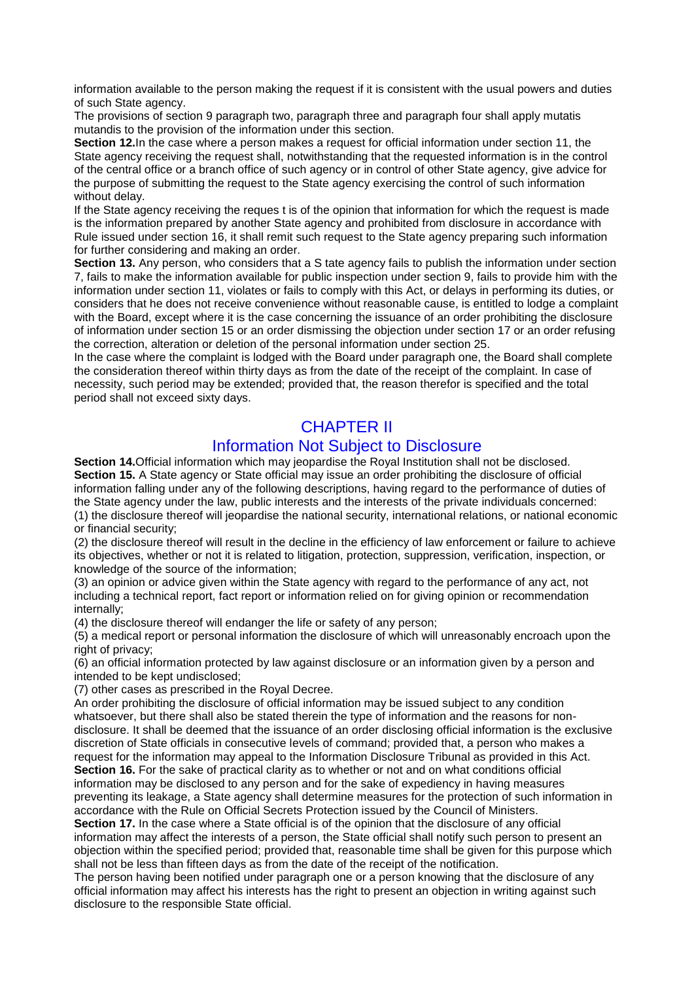information available to the person making the request if it is consistent with the usual powers and duties of such State agency.

The provisions of section 9 paragraph two, paragraph three and paragraph four shall apply mutatis mutandis to the provision of the information under this section.

**Section 12.**In the case where a person makes a request for official information under section 11, the State agency receiving the request shall, notwithstanding that the requested information is in the control of the central office or a branch office of such agency or in control of other State agency, give advice for the purpose of submitting the request to the State agency exercising the control of such information without delay.

If the State agency receiving the reques t is of the opinion that information for which the request is made is the information prepared by another State agency and prohibited from disclosure in accordance with Rule issued under section 16, it shall remit such request to the State agency preparing such information for further considering and making an order.

**Section 13.** Any person, who considers that a S tate agency fails to publish the information under section 7, fails to make the information available for public inspection under section 9, fails to provide him with the information under section 11, violates or fails to comply with this Act, or delays in performing its duties, or considers that he does not receive convenience without reasonable cause, is entitled to lodge a complaint with the Board, except where it is the case concerning the issuance of an order prohibiting the disclosure of information under section 15 or an order dismissing the objection under section 17 or an order refusing the correction, alteration or deletion of the personal information under section 25.

In the case where the complaint is lodged with the Board under paragraph one, the Board shall complete the consideration thereof within thirty days as from the date of the receipt of the complaint. In case of necessity, such period may be extended; provided that, the reason therefor is specified and the total period shall not exceed sixty days.

## CHAPTER II

#### Information Not Subject to Disclosure

**Section 14.**Official information which may jeopardise the Royal Institution shall not be disclosed. **Section 15.** A State agency or State official may issue an order prohibiting the disclosure of official information falling under any of the following descriptions, having regard to the performance of duties of the State agency under the law, public interests and the interests of the private individuals concerned: (1) the disclosure thereof will jeopardise the national security, international relations, or national economic or financial security;

(2) the disclosure thereof will result in the decline in the efficiency of law enforcement or failure to achieve its objectives, whether or not it is related to litigation, protection, suppression, verification, inspection, or knowledge of the source of the information;

(3) an opinion or advice given within the State agency with regard to the performance of any act, not including a technical report, fact report or information relied on for giving opinion or recommendation internally;

(4) the disclosure thereof will endanger the life or safety of any person;

(5) a medical report or personal information the disclosure of which will unreasonably encroach upon the right of privacy;

(6) an official information protected by law against disclosure or an information given by a person and intended to be kept undisclosed;

(7) other cases as prescribed in the Royal Decree.

An order prohibiting the disclosure of official information may be issued subject to any condition whatsoever, but there shall also be stated therein the type of information and the reasons for nondisclosure. It shall be deemed that the issuance of an order disclosing official information is the exclusive discretion of State officials in consecutive levels of command; provided that, a person who makes a request for the information may appeal to the Information Disclosure Tribunal as provided in this Act. **Section 16.** For the sake of practical clarity as to whether or not and on what conditions official information may be disclosed to any person and for the sake of expediency in having measures preventing its leakage, a State agency shall determine measures for the protection of such information in accordance with the Rule on Official Secrets Protection issued by the Council of Ministers.

**Section 17.** In the case where a State official is of the opinion that the disclosure of any official information may affect the interests of a person, the State official shall notify such person to present an objection within the specified period; provided that, reasonable time shall be given for this purpose which shall not be less than fifteen days as from the date of the receipt of the notification.

The person having been notified under paragraph one or a person knowing that the disclosure of any official information may affect his interests has the right to present an objection in writing against such disclosure to the responsible State official.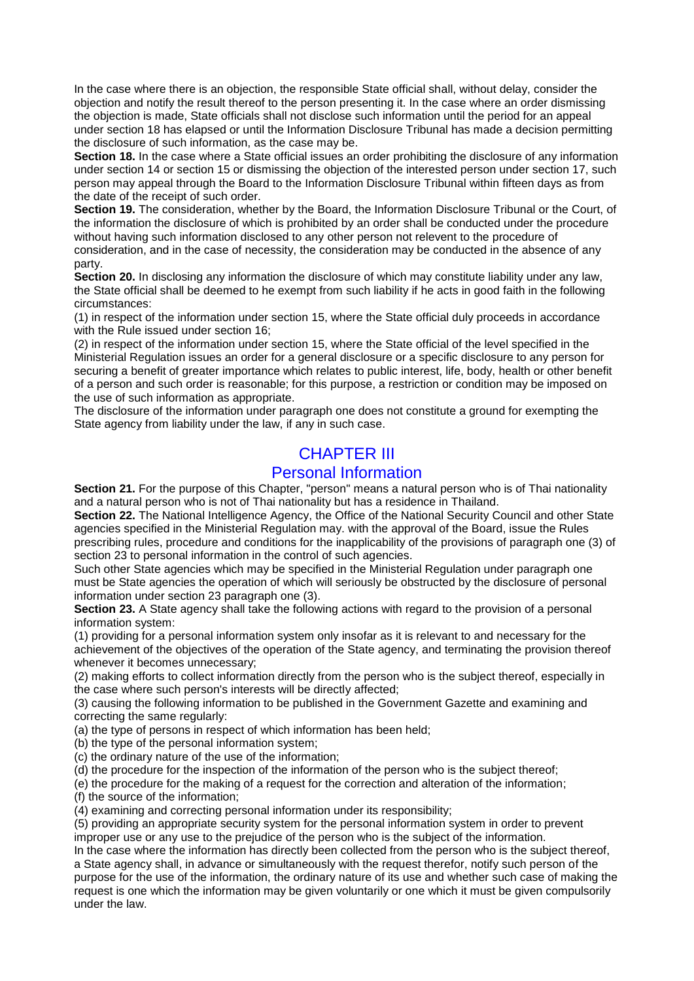In the case where there is an objection, the responsible State official shall, without delay, consider the objection and notify the result thereof to the person presenting it. In the case where an order dismissing the objection is made, State officials shall not disclose such information until the period for an appeal under section 18 has elapsed or until the Information Disclosure Tribunal has made a decision permitting the disclosure of such information, as the case may be.

**Section 18.** In the case where a State official issues an order prohibiting the disclosure of any information under section 14 or section 15 or dismissing the objection of the interested person under section 17, such person may appeal through the Board to the Information Disclosure Tribunal within fifteen days as from the date of the receipt of such order.

**Section 19.** The consideration, whether by the Board, the Information Disclosure Tribunal or the Court, of the information the disclosure of which is prohibited by an order shall be conducted under the procedure without having such information disclosed to any other person not relevent to the procedure of consideration, and in the case of necessity, the consideration may be conducted in the absence of any party.

**Section 20.** In disclosing any information the disclosure of which may constitute liability under any law, the State official shall be deemed to he exempt from such liability if he acts in good faith in the following circumstances:

(1) in respect of the information under section 15, where the State official duly proceeds in accordance with the Rule issued under section 16:

(2) in respect of the information under section 15, where the State official of the level specified in the Ministerial Regulation issues an order for a general disclosure or a specific disclosure to any person for securing a benefit of greater importance which relates to public interest, life, body, health or other benefit of a person and such order is reasonable; for this purpose, a restriction or condition may be imposed on the use of such information as appropriate.

The disclosure of the information under paragraph one does not constitute a ground for exempting the State agency from liability under the law, if any in such case.

## CHAPTER III

#### Personal Information

**Section 21.** For the purpose of this Chapter, "person" means a natural person who is of Thai nationality and a natural person who is not of Thai nationality but has a residence in Thailand.

**Section 22.** The National Intelligence Agency, the Office of the National Security Council and other State agencies specified in the Ministerial Regulation may. with the approval of the Board, issue the Rules prescribing rules, procedure and conditions for the inapplicability of the provisions of paragraph one (3) of section 23 to personal information in the control of such agencies.

Such other State agencies which may be specified in the Ministerial Regulation under paragraph one must be State agencies the operation of which will seriously be obstructed by the disclosure of personal information under section 23 paragraph one (3).

**Section 23.** A State agency shall take the following actions with regard to the provision of a personal information system:

(1) providing for a personal information system only insofar as it is relevant to and necessary for the achievement of the objectives of the operation of the State agency, and terminating the provision thereof whenever it becomes unnecessary;

(2) making efforts to collect information directly from the person who is the subject thereof, especially in the case where such person's interests will be directly affected;

(3) causing the following information to be published in the Government Gazette and examining and correcting the same regularly:

(a) the type of persons in respect of which information has been held;

(b) the type of the personal information system;

(c) the ordinary nature of the use of the information;

(d) the procedure for the inspection of the information of the person who is the subject thereof;

(e) the procedure for the making of a request for the correction and alteration of the information;

(f) the source of the information;

(4) examining and correcting personal information under its responsibility;

(5) providing an appropriate security system for the personal information system in order to prevent improper use or any use to the prejudice of the person who is the subject of the information.

In the case where the information has directly been collected from the person who is the subject thereof, a State agency shall, in advance or simultaneously with the request therefor, notify such person of the purpose for the use of the information, the ordinary nature of its use and whether such case of making the request is one which the information may be given voluntarily or one which it must be given compulsorily under the law.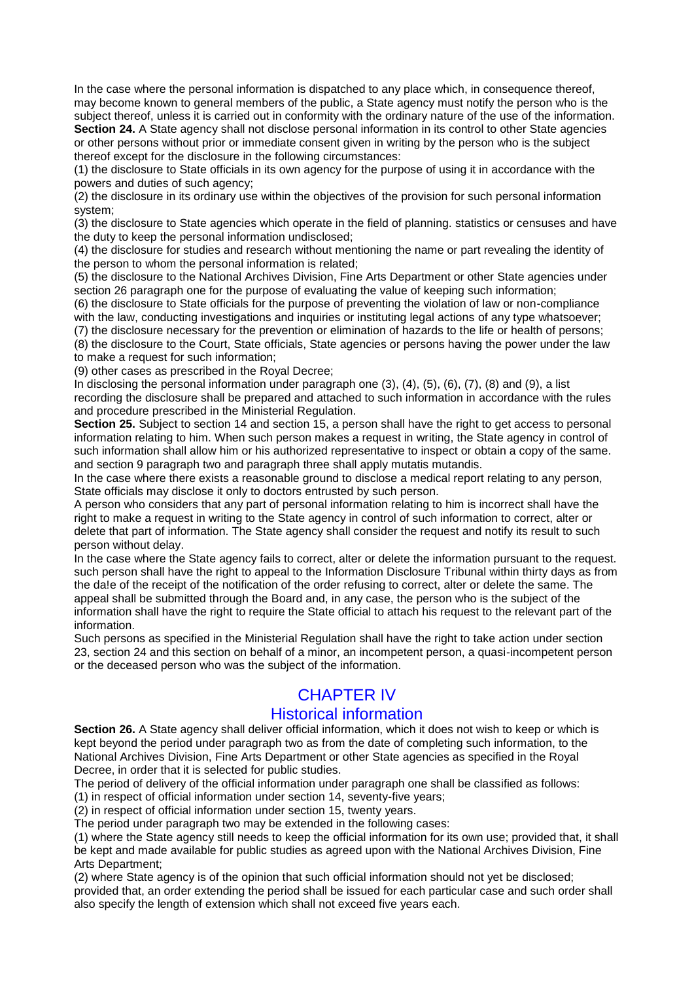In the case where the personal information is dispatched to any place which, in consequence thereof, may become known to general members of the public, a State agency must notify the person who is the subject thereof, unless it is carried out in conformity with the ordinary nature of the use of the information. **Section 24.** A State agency shall not disclose personal information in its control to other State agencies or other persons without prior or immediate consent given in writing by the person who is the subject thereof except for the disclosure in the following circumstances:

(1) the disclosure to State officials in its own agency for the purpose of using it in accordance with the powers and duties of such agency;

(2) the disclosure in its ordinary use within the objectives of the provision for such personal information system;

(3) the disclosure to State agencies which operate in the field of planning. statistics or censuses and have the duty to keep the personal information undisclosed;

(4) the disclosure for studies and research without mentioning the name or part revealing the identity of the person to whom the personal information is related;

(5) the disclosure to the National Archives Division, Fine Arts Department or other State agencies under section 26 paragraph one for the purpose of evaluating the value of keeping such information;

(6) the disclosure to State officials for the purpose of preventing the violation of law or non-compliance with the law, conducting investigations and inquiries or instituting legal actions of any type whatsoever;

(7) the disclosure necessary for the prevention or elimination of hazards to the life or health of persons; (8) the disclosure to the Court, State officials, State agencies or persons having the power under the law

to make a request for such information;

(9) other cases as prescribed in the Royal Decree;

In disclosing the personal information under paragraph one (3), (4), (5), (6), (7), (8) and (9), a list recording the disclosure shall be prepared and attached to such information in accordance with the rules and procedure prescribed in the Ministerial Regulation.

**Section 25.** Subject to section 14 and section 15, a person shall have the right to get access to personal information relating to him. When such person makes a request in writing, the State agency in control of such information shall allow him or his authorized representative to inspect or obtain a copy of the same. and section 9 paragraph two and paragraph three shall apply mutatis mutandis.

In the case where there exists a reasonable ground to disclose a medical report relating to any person, State officials may disclose it only to doctors entrusted by such person.

A person who considers that any part of personal information relating to him is incorrect shall have the right to make a request in writing to the State agency in control of such information to correct, alter or delete that part of information. The State agency shall consider the request and notify its result to such person without delay.

In the case where the State agency fails to correct, alter or delete the information pursuant to the request. such person shall have the right to appeal to the Information Disclosure Tribunal within thirty days as from the da!e of the receipt of the notification of the order refusing to correct, alter or delete the same. The appeal shall be submitted through the Board and, in any case, the person who is the subject of the information shall have the right to require the State official to attach his request to the relevant part of the information.

Such persons as specified in the Ministerial Regulation shall have the right to take action under section 23, section 24 and this section on behalf of a minor, an incompetent person, a quasi-incompetent person or the deceased person who was the subject of the information.

### CHAPTER IV

#### Historical information

**Section 26.** A State agency shall deliver official information, which it does not wish to keep or which is kept beyond the period under paragraph two as from the date of completing such information, to the National Archives Division, Fine Arts Department or other State agencies as specified in the Royal Decree, in order that it is selected for public studies.

The period of delivery of the official information under paragraph one shall be classified as follows: (1) in respect of official information under section 14, seventy-five years;

(2) in respect of official information under section 15, twenty years.

The period under paragraph two may be extended in the following cases:

(1) where the State agency still needs to keep the official information for its own use; provided that, it shall be kept and made available for public studies as agreed upon with the National Archives Division, Fine Arts Department;

(2) where State agency is of the opinion that such official information should not yet be disclosed; provided that, an order extending the period shall be issued for each particular case and such order shall also specify the length of extension which shall not exceed five years each.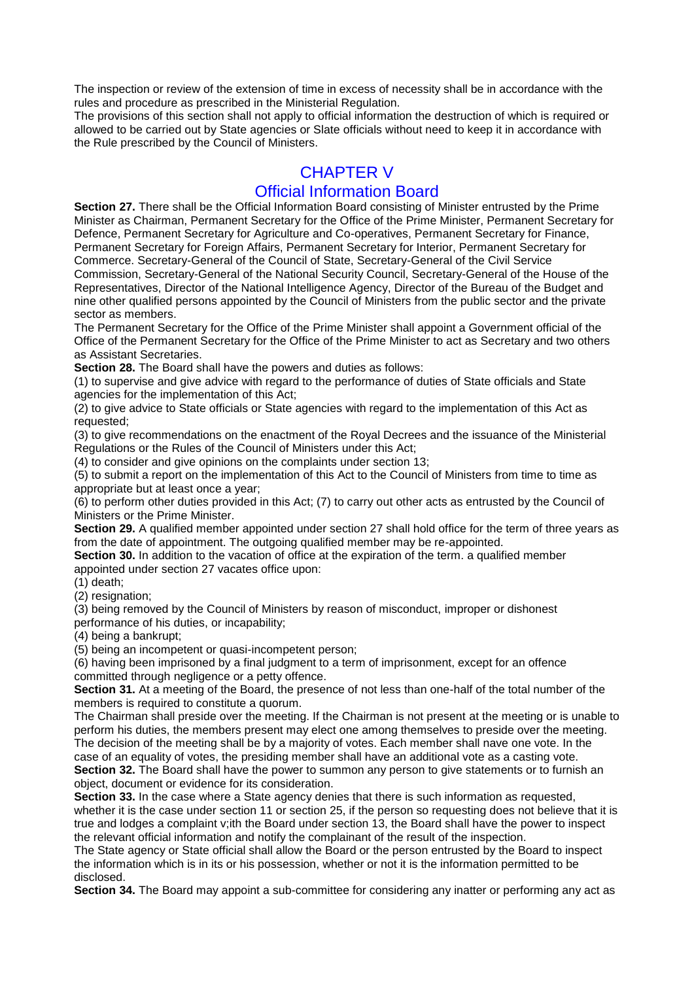The inspection or review of the extension of time in excess of necessity shall be in accordance with the rules and procedure as prescribed in the Ministerial Regulation.

The provisions of this section shall not apply to official information the destruction of which is required or allowed to be carried out by State agencies or Slate officials without need to keep it in accordance with the Rule prescribed by the Council of Ministers.

# CHAPTER V Official Information Board

**Section 27.** There shall be the Official Information Board consisting of Minister entrusted by the Prime Minister as Chairman, Permanent Secretary for the Office of the Prime Minister, Permanent Secretary for Defence, Permanent Secretary for Agriculture and Co-operatives, Permanent Secretary for Finance, Permanent Secretary for Foreign Affairs, Permanent Secretary for Interior, Permanent Secretary for Commerce. Secretary-General of the Council of State, Secretary-General of the Civil Service Commission, Secretary-General of the National Security Council, Secretary-General of the House of the Representatives, Director of the National Intelligence Agency, Director of the Bureau of the Budget and nine other qualified persons appointed by the Council of Ministers from the public sector and the private sector as members.

The Permanent Secretary for the Office of the Prime Minister shall appoint a Government official of the Office of the Permanent Secretary for the Office of the Prime Minister to act as Secretary and two others as Assistant Secretaries.

**Section 28.** The Board shall have the powers and duties as follows:

(1) to supervise and give advice with regard to the performance of duties of State officials and State agencies for the implementation of this Act;

(2) to give advice to State officials or State agencies with regard to the implementation of this Act as requested;

(3) to give recommendations on the enactment of the Royal Decrees and the issuance of the Ministerial Regulations or the Rules of the Council of Ministers under this Act;

(4) to consider and give opinions on the complaints under section 13;

(5) to submit a report on the implementation of this Act to the Council of Ministers from time to time as appropriate but at least once a year;

(6) to perform other duties provided in this Act; (7) to carry out other acts as entrusted by the Council of Ministers or the Prime Minister.

**Section 29.** A qualified member appointed under section 27 shall hold office for the term of three years as from the date of appointment. The outgoing qualified member may be re-appointed.

**Section 30.** In addition to the vacation of office at the expiration of the term. a qualified member appointed under section 27 vacates office upon:

 $(1)$  death:

(2) resignation:

(3) being removed by the Council of Ministers by reason of misconduct, improper or dishonest performance of his duties, or incapability;

(4) being a bankrupt;

(5) being an incompetent or quasi-incompetent person;

(6) having been imprisoned by a final judgment to a term of imprisonment, except for an offence committed through negligence or a petty offence.

**Section 31.** At a meeting of the Board, the presence of not less than one-half of the total number of the members is required to constitute a quorum.

The Chairman shall preside over the meeting. If the Chairman is not present at the meeting or is unable to perform his duties, the members present may elect one among themselves to preside over the meeting. The decision of the meeting shall be by a majority of votes. Each member shall nave one vote. In the case of an equality of votes, the presiding member shall have an additional vote as a casting vote. **Section 32.** The Board shall have the power to summon any person to give statements or to furnish an object, document or evidence for its consideration.

**Section 33.** In the case where a State agency denies that there is such information as requested, whether it is the case under section 11 or section 25, if the person so requesting does not believe that it is true and lodges a complaint v;ith the Board under section 13, the Board shall have the power to inspect the relevant official information and notify the complainant of the result of the inspection.

The State agency or State official shall allow the Board or the person entrusted by the Board to inspect the information which is in its or his possession, whether or not it is the information permitted to be disclosed.

**Section 34.** The Board may appoint a sub-committee for considering any inatter or performing any act as